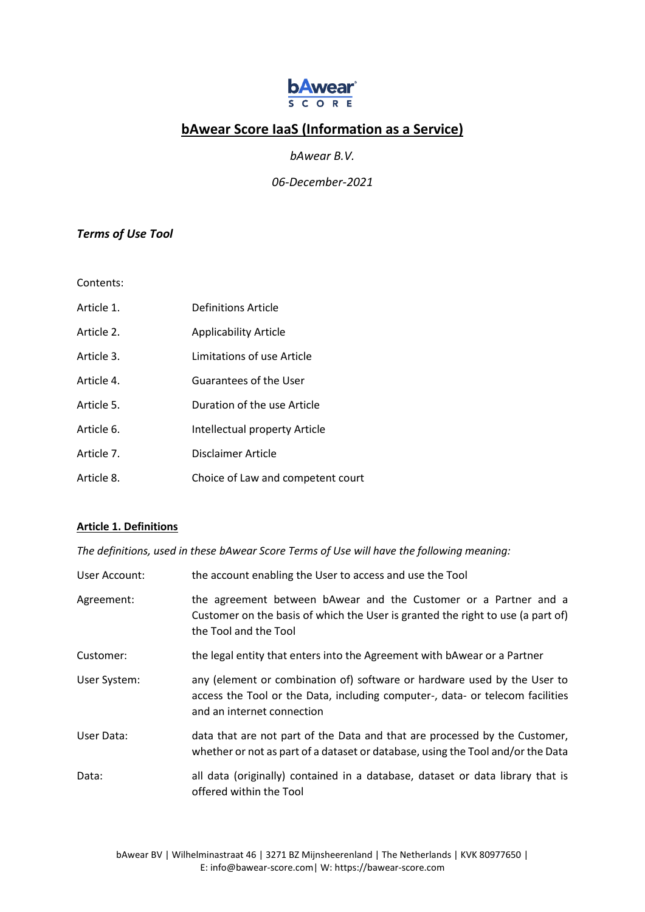

# **bAwear Score IaaS (Information as a Service)**

*bAwear B.V.*

*06-December-2021*

# *Terms of Use Tool*

Contents:

| Article 1. | Definitions Article               |
|------------|-----------------------------------|
| Article 2. | <b>Applicability Article</b>      |
| Article 3. | Limitations of use Article        |
| Article 4. | Guarantees of the User            |
| Article 5. | Duration of the use Article       |
| Article 6. | Intellectual property Article     |
| Article 7. | Disclaimer Article                |
| Article 8. | Choice of Law and competent court |

## **Article 1. Definitions**

*The definitions, used in these bAwear Score Terms of Use will have the following meaning:* 

| User Account: | the account enabling the User to access and use the Tool                                                                                                                                |
|---------------|-----------------------------------------------------------------------------------------------------------------------------------------------------------------------------------------|
| Agreement:    | the agreement between bAwear and the Customer or a Partner and a<br>Customer on the basis of which the User is granted the right to use (a part of)<br>the Tool and the Tool            |
| Customer:     | the legal entity that enters into the Agreement with bAwear or a Partner                                                                                                                |
| User System:  | any (element or combination of) software or hardware used by the User to<br>access the Tool or the Data, including computer-, data- or telecom facilities<br>and an internet connection |
| User Data:    | data that are not part of the Data and that are processed by the Customer,<br>whether or not as part of a dataset or database, using the Tool and/or the Data                           |
| Data:         | all data (originally) contained in a database, dataset or data library that is<br>offered within the Tool                                                                               |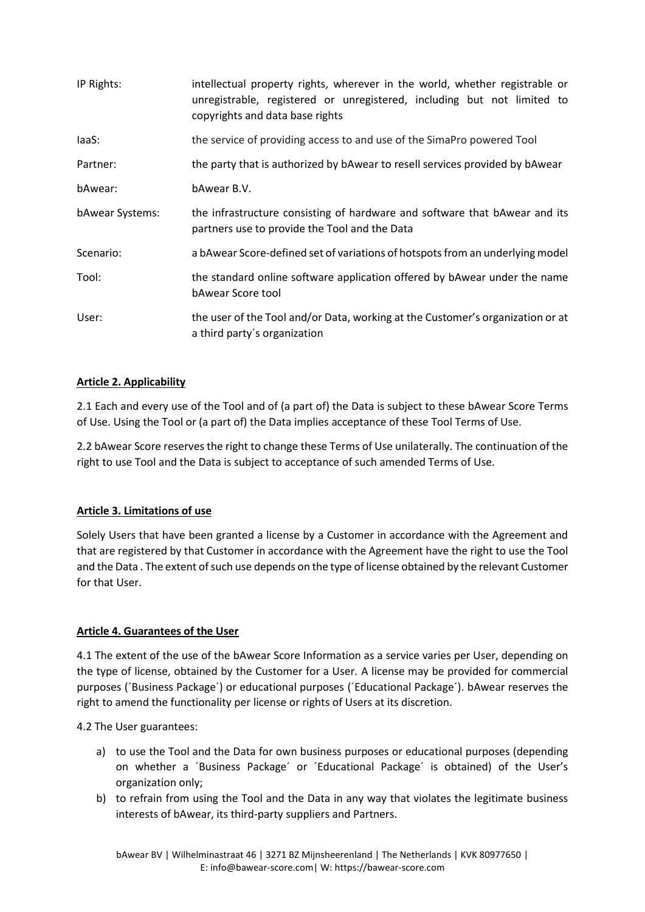| IP Rights:      | intellectual property rights, wherever in the world, whether registrable or<br>unregistrable, registered or unregistered, including but not limited to<br>copyrights and data base rights |
|-----------------|-------------------------------------------------------------------------------------------------------------------------------------------------------------------------------------------|
| laaS:           | the service of providing access to and use of the SimaPro powered Tool                                                                                                                    |
| Partner:        | the party that is authorized by bAwear to resell services provided by bAwear                                                                                                              |
| bAwear:         | bAwear B.V.                                                                                                                                                                               |
| bAwear Systems: | the infrastructure consisting of hardware and software that bAwear and its<br>partners use to provide the Tool and the Data                                                               |
| Scenario:       | a bAwear Score-defined set of variations of hotspots from an underlying model                                                                                                             |
| Tool:           | the standard online software application offered by bAwear under the name<br>bAwear Score tool                                                                                            |
| User:           | the user of the Tool and/or Data, working at the Customer's organization or at<br>a third party's organization                                                                            |

# **Article 2. Applicability**

2.1 Each and every use of the Tool and of (a part of) the Data is subject to these bAwear Score Terms of Use. Using the Tool or (a part of) the Data implies acceptance of these Tool Terms of Use.

2.2 bAwear Score reserves the right to change these Terms of Use unilaterally. The continuation of the right to use Tool and the Data is subject to acceptance of such amended Terms of Use.

# **Article 3. Limitations of use**

Solely Users that have been granted a license by a Customer in accordance with the Agreement and that are registered by that Customer in accordance with the Agreement have the right to use the Tool and the Data . The extent of such use depends on the type of license obtained by the relevant Customer for that User.

## **Article 4. Guarantees of the User**

4.1 The extent of the use of the bAwear Score Information as a service varies per User, depending on the type of license, obtained by the Customer for a User. A license may be provided for commercial purposes (´Business Package´) or educational purposes (´Educational Package´). bAwear reserves the right to amend the functionality per license or rights of Users at its discretion.

4.2 The User guarantees:

- a) to use the Tool and the Data for own business purposes or educational purposes (depending on whether a ´Business Package´ or ´Educational Package´ is obtained) of the User's organization only;
- b) to refrain from using the Tool and the Data in any way that violates the legitimate business interests of bAwear, its third-party suppliers and Partners.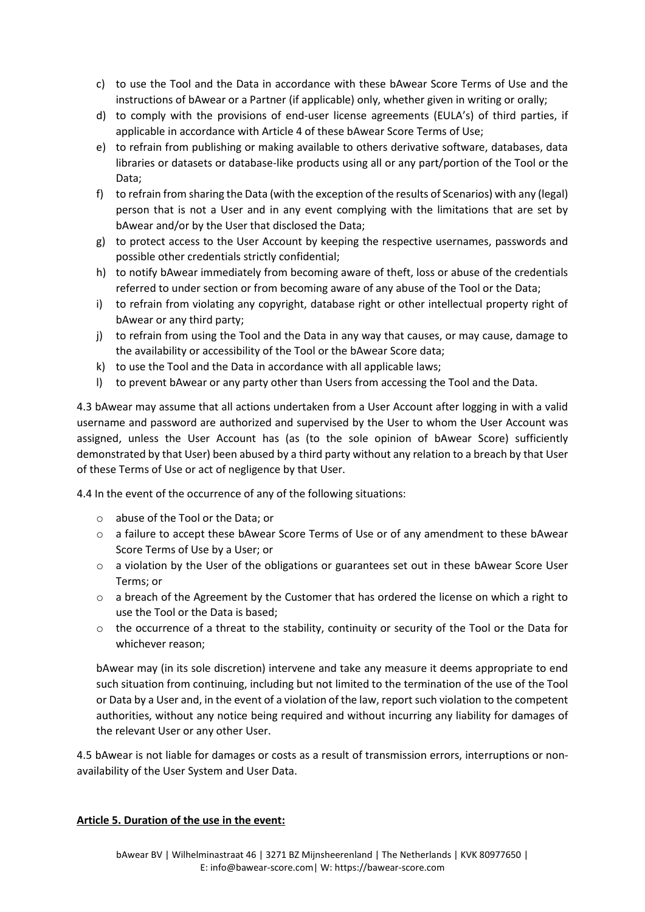- c) to use the Tool and the Data in accordance with these bAwear Score Terms of Use and the instructions of bAwear or a Partner (if applicable) only, whether given in writing or orally;
- d) to comply with the provisions of end-user license agreements (EULA's) of third parties, if applicable in accordance with Article 4 of these bAwear Score Terms of Use;
- e) to refrain from publishing or making available to others derivative software, databases, data libraries or datasets or database-like products using all or any part/portion of the Tool or the Data;
- f) to refrain from sharing the Data (with the exception of the results of Scenarios) with any (legal) person that is not a User and in any event complying with the limitations that are set by bAwear and/or by the User that disclosed the Data;
- g) to protect access to the User Account by keeping the respective usernames, passwords and possible other credentials strictly confidential;
- h) to notify bAwear immediately from becoming aware of theft, loss or abuse of the credentials referred to under section or from becoming aware of any abuse of the Tool or the Data;
- i) to refrain from violating any copyright, database right or other intellectual property right of bAwear or any third party;
- j) to refrain from using the Tool and the Data in any way that causes, or may cause, damage to the availability or accessibility of the Tool or the bAwear Score data;
- k) to use the Tool and the Data in accordance with all applicable laws;
- l) to prevent bAwear or any party other than Users from accessing the Tool and the Data.

4.3 bAwear may assume that all actions undertaken from a User Account after logging in with a valid username and password are authorized and supervised by the User to whom the User Account was assigned, unless the User Account has (as (to the sole opinion of bAwear Score) sufficiently demonstrated by that User) been abused by a third party without any relation to a breach by that User of these Terms of Use or act of negligence by that User.

4.4 In the event of the occurrence of any of the following situations:

- o abuse of the Tool or the Data; or
- o a failure to accept these bAwear Score Terms of Use or of any amendment to these bAwear Score Terms of Use by a User; or
- o a violation by the User of the obligations or guarantees set out in these bAwear Score User Terms; or
- o a breach of the Agreement by the Customer that has ordered the license on which a right to use the Tool or the Data is based;
- $\circ$  the occurrence of a threat to the stability, continuity or security of the Tool or the Data for whichever reason;

bAwear may (in its sole discretion) intervene and take any measure it deems appropriate to end such situation from continuing, including but not limited to the termination of the use of the Tool or Data by a User and, in the event of a violation of the law, report such violation to the competent authorities, without any notice being required and without incurring any liability for damages of the relevant User or any other User.

4.5 bAwear is not liable for damages or costs as a result of transmission errors, interruptions or nonavailability of the User System and User Data.

#### **Article 5. Duration of the use in the event:**